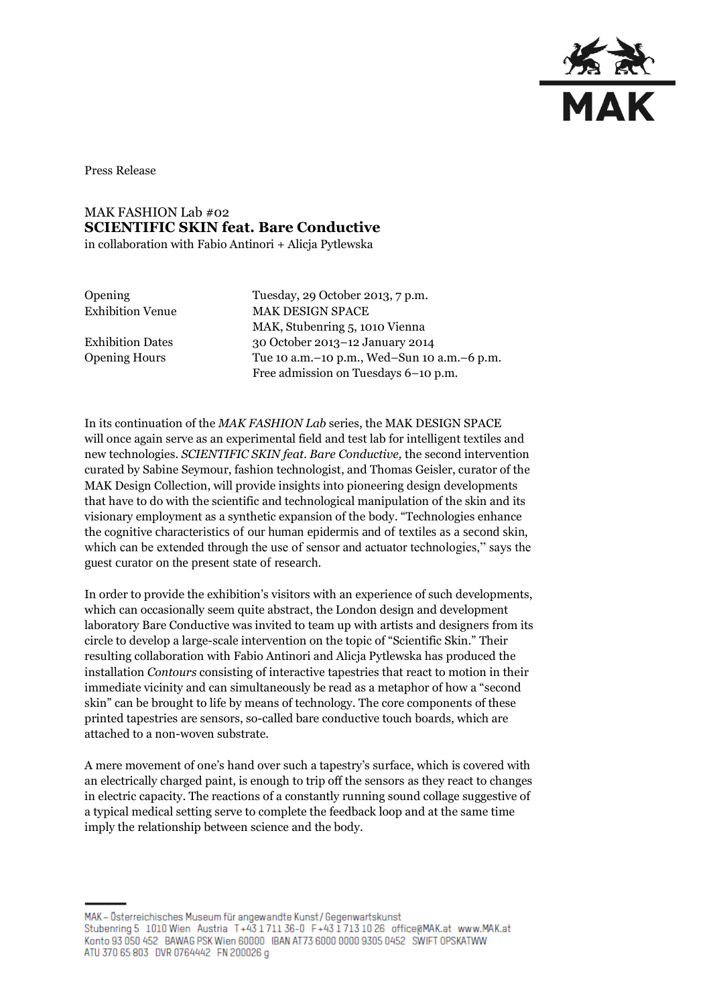

Press Release

## MAK FASHION Lab #02 **SCIENTIFIC SKIN feat. Bare Conductive**

in collaboration with Fabio Antinori + Alicja Pytlewska

Opening Tuesday, 29 October 2013, 7 p.m. Exhibition Venue MAK DESIGN SPACE MAK, Stubenring 5, 1010 Vienna Exhibition Dates 30 October 2013–12 January 2014 Opening Hours Tue 10 a.m.–10 p.m., Wed–Sun 10 a.m.–6 p.m. Free admission on Tuesdays 6–10 p.m.

In its continuation of the *MAK FASHION Lab* series, the MAK DESIGN SPACE will once again serve as an experimental field and test lab for intelligent textiles and new technologies. *SCIENTIFIC SKIN feat. Bare Conductive,* the second intervention curated by Sabine Seymour, fashion technologist, and Thomas Geisler, curator of the MAK Design Collection, will provide insights into pioneering design developments that have to do with the scientific and technological manipulation of the skin and its visionary employment as a synthetic expansion of the body. "Technologies enhance the cognitive characteristics of our human epidermis and of textiles as a second skin, which can be extended through the use of sensor and actuator technologies," says the guest curator on the present state of research.

In order to provide the exhibition's visitors with an experience of such developments, which can occasionally seem quite abstract, the London design and development laboratory Bare Conductive was invited to team up with artists and designers from its circle to develop a large-scale intervention on the topic of "Scientific Skin." Their resulting collaboration with Fabio Antinori and Alicja Pytlewska has produced the installation *Contours* consisting of interactive tapestries that react to motion in their immediate vicinity and can simultaneously be read as a metaphor of how a "second skin" can be brought to life by means of technology. The core components of these printed tapestries are sensors, so-called bare conductive touch boards, which are attached to a non-woven substrate.

A mere movement of one's hand over such a tapestry's surface, which is covered with an electrically charged paint, is enough to trip off the sensors as they react to changes in electric capacity. The reactions of a constantly running sound collage suggestive of a typical medical setting serve to complete the feedback loop and at the same time imply the relationship between science and the body.

MAK - Österreichisches Museum für angewandte Kunst / Gegenwartskunst Stubenring 5 1010 Wien Austria T+43 1711 36-0 F+43 1713 10 26 office@MAK.at www.MAK.at Konto 93 050 452 BAWAG PSK Wien 60000 BAN AT73 6000 0000 9305 0452 SWIFT OPSKATWW ATU 370 65 803 DVR 0764442 FN 200026 g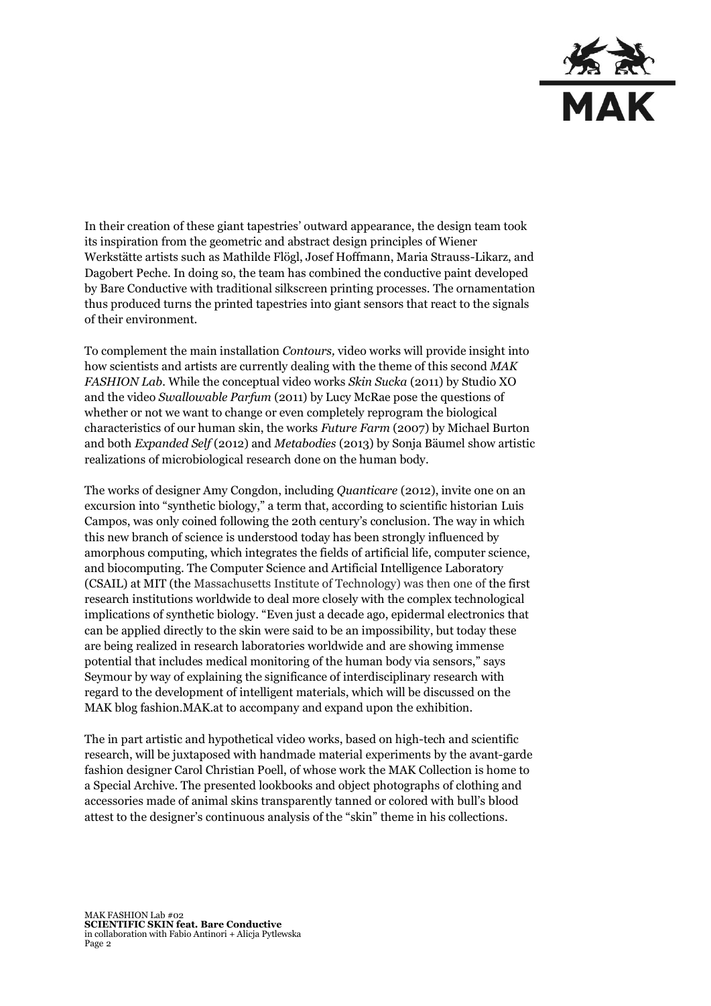

In their creation of these giant tapestries' outward appearance, the design team took its inspiration from the geometric and abstract design principles of Wiener Werkstätte artists such as Mathilde Flögl, Josef Hoffmann, Maria Strauss-Likarz, and Dagobert Peche. In doing so, the team has combined the conductive paint developed by Bare Conductive with traditional silkscreen printing processes. The ornamentation thus produced turns the printed tapestries into giant sensors that react to the signals of their environment.

To complement the main installation *Contours,* video works will provide insight into how scientists and artists are currently dealing with the theme of this second *MAK FASHION Lab.* While the conceptual video works *Skin Sucka* (2011) by Studio XO and the video *Swallowable Parfum* (2011) by Lucy McRae pose the questions of whether or not we want to change or even completely reprogram the biological characteristics of our human skin, the works *Future Farm* (2007) by Michael Burton and both *Expanded Self* (2012) and *Metabodies* (2013) by Sonja Bäumel show artistic realizations of microbiological research done on the human body.

The works of designer Amy Congdon, including *Quanticare* (2012), invite one on an excursion into "synthetic biology," a term that, according to scientific historian Luis Campos, was only coined following the 20th century's conclusion. The way in which this new branch of science is understood today has been strongly influenced by amorphous computing, which integrates the fields of artificial life, computer science, and biocomputing. The Computer Science and Artificial Intelligence Laboratory (CSAIL) at MIT (the Massachusetts Institute of Technology) was then one of the first research institutions worldwide to deal more closely with the complex technological implications of synthetic biology. "Even just a decade ago, epidermal electronics that can be applied directly to the skin were said to be an impossibility, but today these are being realized in research laboratories worldwide and are showing immense potential that includes medical monitoring of the human body via sensors," says Seymour by way of explaining the significance of interdisciplinary research with regard to the development of intelligent materials, which will be discussed on the MAK blog fashion.MAK.at to accompany and expand upon the exhibition.

The in part artistic and hypothetical video works, based on high-tech and scientific research, will be juxtaposed with handmade material experiments by the avant-garde fashion designer Carol Christian Poell, of whose work the MAK Collection is home to a Special Archive. The presented lookbooks and object photographs of clothing and accessories made of animal skins transparently tanned or colored with bull's blood attest to the designer's continuous analysis of the "skin" theme in his collections.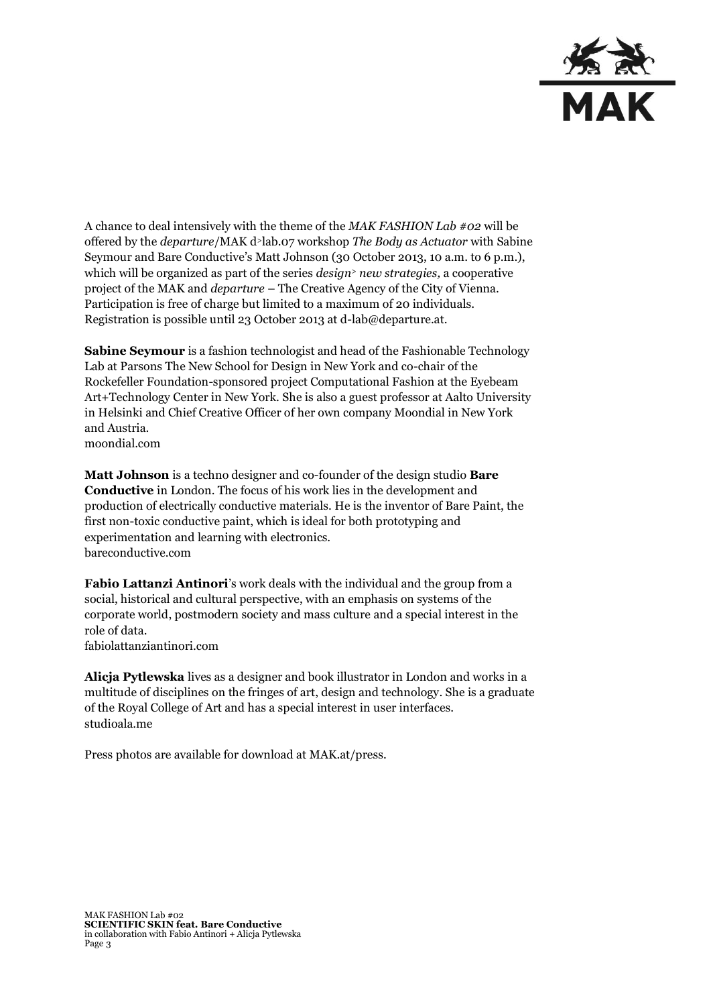

A chance to deal intensively with the theme of the *MAK FASHION Lab #02* will be offered by the *departure*/MAK d>lab.07 workshop *The Body as Actuator* with Sabine Seymour and Bare Conductive's Matt Johnson (30 October 2013, 10 a.m. to 6 p.m.), which will be organized as part of the series *design<sup>&</sup>gt; new strategies,* a cooperative project of the MAK and *departure* – The Creative Agency of the City of Vienna. Participation is free of charge but limited to a maximum of 20 individuals. Registration is possible until 23 October 2013 at d-lab@departure.at.

**Sabine Seymour** is a fashion technologist and head of the Fashionable Technology Lab at Parsons The New School for Design in New York and co-chair of the Rockefeller Foundation-sponsored project Computational Fashion at the Eyebeam Art+Technology Center in New York. She is also a guest professor at Aalto University in Helsinki and Chief Creative Officer of her own company Moondial in New York and Austria. moondial.com

**Matt Johnson** is a techno designer and co-founder of the design studio **Bare Conductive** in London. The focus of his work lies in the development and production of electrically conductive materials. He is the inventor of Bare Paint, the first non-toxic conductive paint, which is ideal for both prototyping and experimentation and learning with electronics. bareconductive.com

**Fabio Lattanzi Antinori**'s work deals with the individual and the group from a social, historical and cultural perspective, with an emphasis on systems of the corporate world, postmodern society and mass culture and a special interest in the role of data.

fabiolattanziantinori.com

**Alicja Pytlewska** lives as a designer and book illustrator in London and works in a multitude of disciplines on the fringes of art, design and technology. She is a graduate of the Royal College of Art and has a special interest in user interfaces. studioala.me

Press photos are available for download at MAK.at/press.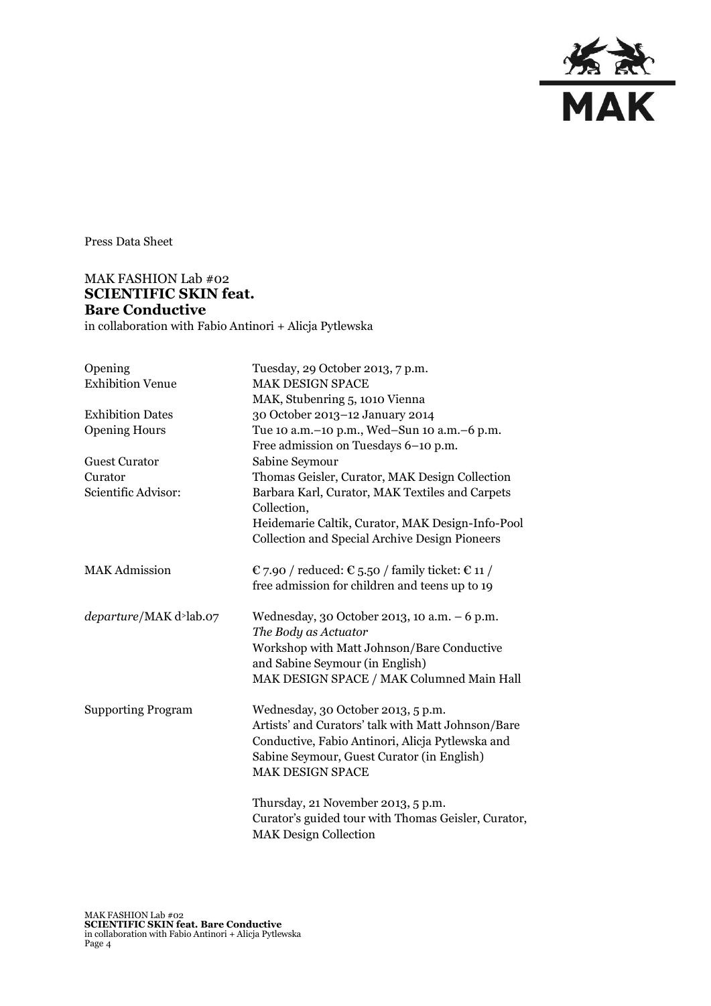

Press Data Sheet

## MAK FASHION Lab #02 **SCIENTIFIC SKIN feat. Bare Conductive**

in collaboration with Fabio Antinori + Alicja Pytlewska

| Opening                                | Tuesday, 29 October 2013, 7 p.m.                               |
|----------------------------------------|----------------------------------------------------------------|
| <b>Exhibition Venue</b>                | <b>MAK DESIGN SPACE</b>                                        |
|                                        | MAK, Stubenring 5, 1010 Vienna                                 |
| <b>Exhibition Dates</b>                | 30 October 2013-12 January 2014                                |
| <b>Opening Hours</b>                   | Tue 10 a.m. - 10 p.m., Wed-Sun 10 a.m. - 6 p.m.                |
|                                        | Free admission on Tuesdays 6-10 p.m.                           |
| <b>Guest Curator</b>                   | Sabine Seymour                                                 |
| Curator                                | Thomas Geisler, Curator, MAK Design Collection                 |
| Scientific Advisor:                    | Barbara Karl, Curator, MAK Textiles and Carpets<br>Collection, |
|                                        | Heidemarie Caltik, Curator, MAK Design-Info-Pool               |
|                                        | <b>Collection and Special Archive Design Pioneers</b>          |
| <b>MAK Admission</b>                   | € 7.90 / reduced: € 5.50 / family ticket: € 11 /               |
|                                        | free admission for children and teens up to 19                 |
| departure/MAK d <sup>&gt;</sup> lab.07 | Wednesday, 30 October 2013, 10 a.m. $-6$ p.m.                  |
|                                        | The Body as Actuator                                           |
|                                        | Workshop with Matt Johnson/Bare Conductive                     |
|                                        | and Sabine Seymour (in English)                                |
|                                        | MAK DESIGN SPACE / MAK Columned Main Hall                      |
| <b>Supporting Program</b>              | Wednesday, 30 October 2013, 5 p.m.                             |
|                                        | Artists' and Curators' talk with Matt Johnson/Bare             |
|                                        | Conductive, Fabio Antinori, Alicja Pytlewska and               |
|                                        | Sabine Seymour, Guest Curator (in English)                     |
|                                        | <b>MAK DESIGN SPACE</b>                                        |
|                                        | Thursday, 21 November 2013, 5 p.m.                             |
|                                        | Curator's guided tour with Thomas Geisler, Curator,            |
|                                        | <b>MAK Design Collection</b>                                   |